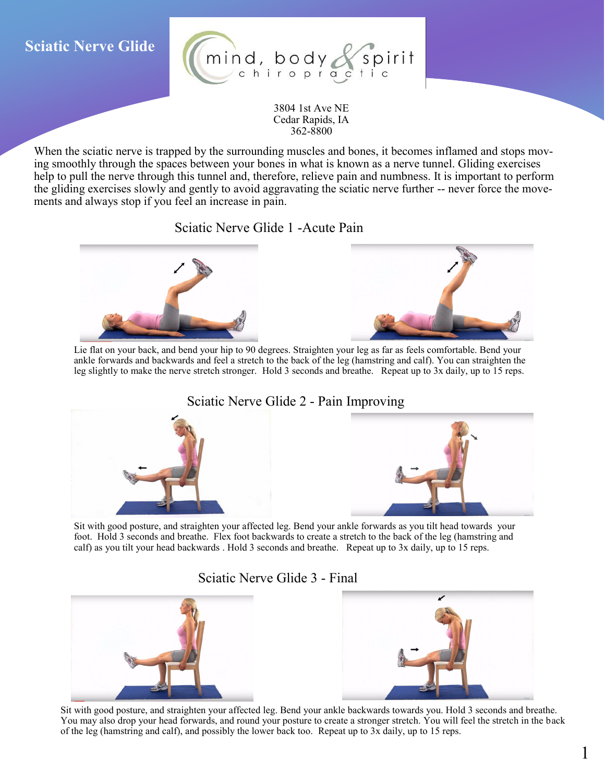## **Sciatic Nerve Glide**



3804 1st Ave NE Cedar Rapids, IA 362-8800

When the sciatic nerve is trapped by the surrounding muscles and bones, it becomes inflamed and stops moving smoothly through the spaces between your bones in what is known as a nerve tunnel. Gliding exercises help to pull the nerve through this tunnel and, therefore, relieve pain and numbness. It is important to perform the gliding exercises slowly and gently to avoid aggravating the sciatic nerve further -- never force the movements and always stop if you feel an increase in pain.

Sciatic Nerve Glide 1 -Acute Pain



Lie flat on your back, and bend your hip to 90 degrees. Straighten your leg as far as feels comfortable. Bend your ankle forwards and backwards and feel a stretch to the back of the leg (hamstring and calf). You can straighten the leg slightly to make the nerve stretch stronger. Hold 3 seconds and breathe. Repeat up to 3x daily, up to 15 reps.

Sciatic Nerve Glide 2 - Pain Improving



Sit with good posture, and straighten your affected leg. Bend your ankle forwards as you tilt head towards your foot. Hold 3 seconds and breathe. Flex foot backwards to create a stretch to the back of the leg (hamstring and calf) as you tilt your head backwards . Hold 3 seconds and breathe. Repeat up to 3x daily, up to 15 reps.

Sciatic Nerve Glide 3 - Final



Sit with good posture, and straighten your affected leg. Bend your ankle backwards towards you. Hold 3 seconds and breathe. You may also drop your head forwards, and round your posture to create a stronger stretch. You will feel the stretch in the back of the leg (hamstring and calf), and possibly the lower back too. Repeat up to 3x daily, up to 15 reps.

1